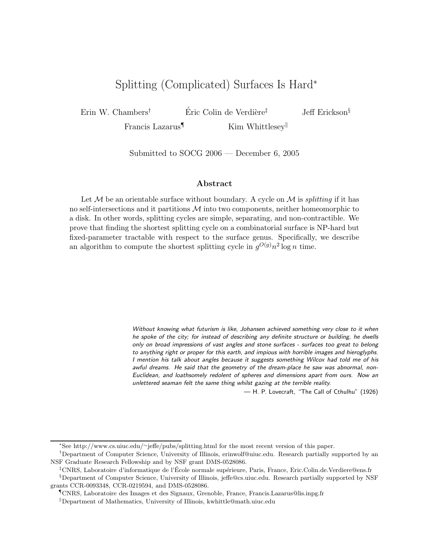# Splitting (Complicated) Surfaces Is Hard<sup>∗</sup>

Erin W. Chambers† Eric Colin de Verdi`ere ´ ‡ Jeff Erickson§

Francis Lazarus<sup>¶</sup> Kim Whittlesey

Submitted to SOCG 2006 — December 6, 2005

#### Abstract

Let  $M$  be an orientable surface without boundary. A cycle on  $M$  is *splitting* if it has no self-intersections and it partitions  $M$  into two components, neither homeomorphic to a disk. In other words, splitting cycles are simple, separating, and non-contractible. We prove that finding the shortest splitting cycle on a combinatorial surface is NP-hard but fixed-parameter tractable with respect to the surface genus. Specifically, we describe an algorithm to compute the shortest splitting cycle in  $g^{O(g)}n^2 \log n$  time.

> Without knowing what futurism is like, Johansen achieved something very close to it when he spoke of the city; for instead of describing any definite structure or building, he dwells only on broad impressions of vast angles and stone surfaces - surfaces too great to belong to anything right or proper for this earth, and impious with horrible images and hieroglyphs. I mention his talk about angles because it suggests something Wilcox had told me of his awful dreams. He said that the geometry of the dream-place he saw was abnormal, non-Euclidean, and loathsomely redolent of spheres and dimensions apart from ours. Now an unlettered seaman felt the same thing whilst gazing at the terrible reality.

> > — H. P. Lovecraft, "The Call of Cthulhu" (1926)

<sup>∗</sup>See http://www.cs.uiuc.edu/<sup>∼</sup>jeffe/pubs/splitting.html for the most recent version of this paper.

<sup>†</sup>Department of Computer Science, University of Illinois, erinwolf@uiuc.edu. Research partially supported by an NSF Graduate Research Fellowship and by NSF grant DMS-0528086.

<sup>&</sup>lt;sup>‡</sup>CNRS, Laboratoire d'informatique de l'École normale supérieure, Paris, France, Eric.Colin.de. Verdiere@ens.fr

<sup>§</sup>Department of Computer Science, University of Illinois, jeffe@cs.uiuc.edu. Research partially supported by NSF grants CCR-0093348, CCR-0219594, and DMS-0528086.

<sup>¶</sup>CNRS, Laboratoire des Images et des Signaux, Grenoble, France, Francis.Lazarus@lis.inpg.fr

<sup>k</sup>Department of Mathematics, University of Illinois, kwhittle@math.uiuc.edu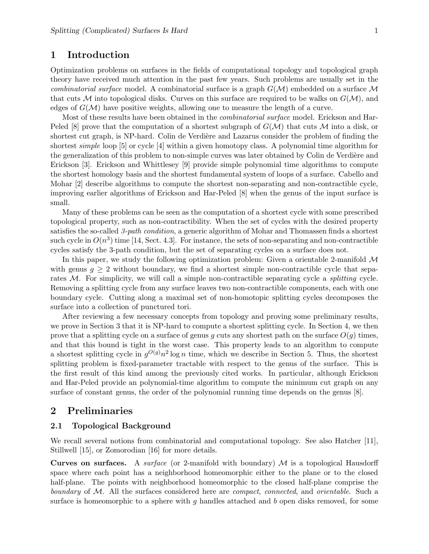# 1 Introduction

Optimization problems on surfaces in the fields of computational topology and topological graph theory have received much attention in the past few years. Such problems are usually set in the *combinatorial surface* model. A combinatorial surface is a graph  $G(\mathcal{M})$  embedded on a surface M that cuts M into topological disks. Curves on this surface are required to be walks on  $G(\mathcal{M})$ , and edges of  $G(\mathcal{M})$  have positive weights, allowing one to measure the length of a curve.

Most of these results have been obtained in the combinatorial surface model. Erickson and Har-Peled [8] prove that the computation of a shortest subgraph of  $G(\mathcal{M})$  that cuts M into a disk, or shortest cut graph, is NP-hard. Colin de Verdière and Lazarus consider the problem of finding the shortest simple loop [5] or cycle [4] within a given homotopy class. A polynomial time algorithm for the generalization of this problem to non-simple curves was later obtained by Colin de Verdière and Erickson [3]. Erickson and Whittlesey [9] provide simple polynomial time algorithms to compute the shortest homology basis and the shortest fundamental system of loops of a surface. Cabello and Mohar [2] describe algorithms to compute the shortest non-separating and non-contractible cycle, improving earlier algorithms of Erickson and Har-Peled [8] when the genus of the input surface is small.

Many of these problems can be seen as the computation of a shortest cycle with some prescribed topological property, such as non-contractibility. When the set of cycles with the desired property satisfies the so-called 3-path condition, a generic algorithm of Mohar and Thomassen finds a shortest such cycle in  $O(n^3)$  time [14, Sect. 4.3]. For instance, the sets of non-separating and non-contractible cycles satisfy the 3-path condition, but the set of separating cycles on a surface does not.

In this paper, we study the following optimization problem: Given a orientable 2-manifold  $\mathcal M$ with genus  $g \geq 2$  without boundary, we find a shortest simple non-contractible cycle that separates  $M$ . For simplicity, we will call a simple non-contractible separating cycle a *splitting* cycle. Removing a splitting cycle from any surface leaves two non-contractible components, each with one boundary cycle. Cutting along a maximal set of non-homotopic splitting cycles decomposes the surface into a collection of punctured tori.

After reviewing a few necessary concepts from topology and proving some preliminary results, we prove in Section 3 that it is NP-hard to compute a shortest splitting cycle. In Section 4, we then prove that a splitting cycle on a surface of genus q cuts any shortest path on the surface  $O(q)$  times, and that this bound is tight in the worst case. This property leads to an algorithm to compute a shortest splitting cycle in  $g^{O(g)}n^2 \log n$  time, which we describe in Section 5. Thus, the shortest splitting problem is fixed-parameter tractable with respect to the genus of the surface. This is the first result of this kind among the previously cited works. In particular, although Erickson and Har-Peled provide an polynomial-time algorithm to compute the minimum cut graph on any surface of constant genus, the order of the polynomial running time depends on the genus [8].

# 2 Preliminaries

## 2.1 Topological Background

We recall several notions from combinatorial and computational topology. See also Hatcher [11], Stillwell [15], or Zomorodian [16] for more details.

**Curves on surfaces.** A surface (or 2-manifold with boundary)  $M$  is a topological Hausdorff space where each point has a neighborhood homeomorphic either to the plane or to the closed half-plane. The points with neighborhood homeomorphic to the closed half-plane comprise the boundary of  $M$ . All the surfaces considered here are *compact*, *connected*, and *orientable*. Such a surface is homeomorphic to a sphere with  $g$  handles attached and  $b$  open disks removed, for some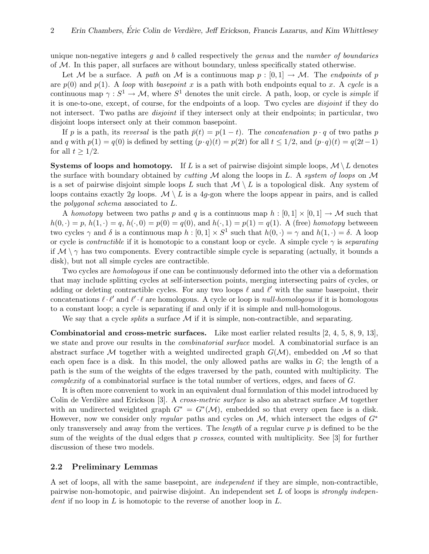unique non-negative integers  $g$  and  $b$  called respectively the *genus* and the *number of boundaries* of M. In this paper, all surfaces are without boundary, unless specifically stated otherwise.

Let M be a surface. A path on M is a continuous map  $p : [0,1] \to M$ . The endpoints of p are  $p(0)$  and  $p(1)$ . A loop with basepoint x is a path with both endpoints equal to x. A cycle is a continuous map  $\gamma: S^1 \to \mathcal{M}$ , where  $S^1$  denotes the unit circle. A path, loop, or cycle is *simple* if it is one-to-one, except, of course, for the endpoints of a loop. Two cycles are disjoint if they do not intersect. Two paths are *disjoint* if they intersect only at their endpoints; in particular, two disjoint loops intersect only at their common basepoint.

If p is a path, its reversal is the path  $\bar{p}(t) = p(1-t)$ . The concatenation p · q of two paths p and q with  $p(1) = q(0)$  is defined by setting  $(p \cdot q)(t) = p(2t)$  for all  $t \leq 1/2$ , and  $(p \cdot q)(t) = q(2t-1)$ for all  $t \geq 1/2$ .

**Systems of loops and homotopy.** If L is a set of pairwise disjoint simple loops,  $\mathcal{M} \setminus L$  denotes the surface with boundary obtained by *cutting*  $M$  along the loops in L. A system of loops on  $M$ is a set of pairwise disjoint simple loops L such that  $\mathcal{M} \setminus L$  is a topological disk. Any system of loops contains exactly 2g loops.  $\mathcal{M} \setminus L$  is a 4g-gon where the loops appear in pairs, and is called the polygonal schema associated to L.

A homotopy between two paths p and q is a continuous map  $h : [0,1] \times [0,1] \rightarrow M$  such that  $h(0, \cdot) = p$ ,  $h(1, \cdot) = q$ ,  $h(\cdot, 0) = p(0) = q(0)$ , and  $h(\cdot, 1) = p(1) = q(1)$ . A (free) homotopy between two cycles  $\gamma$  and  $\delta$  is a continuous map  $h: [0,1] \times S^1$  such that  $h(0, \cdot) = \gamma$  and  $h(1, \cdot) = \delta$ . A loop or cycle is *contractible* if it is homotopic to a constant loop or cycle. A simple cycle  $\gamma$  is *separating* if  $\mathcal{M} \setminus \gamma$  has two components. Every contractible simple cycle is separating (actually, it bounds a disk), but not all simple cycles are contractible.

Two cycles are homologous if one can be continuously deformed into the other via a deformation that may include splitting cycles at self-intersection points, merging intersecting pairs of cycles, or adding or deleting contractible cycles. For any two loops  $\ell$  and  $\ell'$  with the same basepoint, their concatenations  $\ell \cdot \ell'$  and  $\ell' \cdot \ell$  are homologous. A cycle or loop is *null-homologous* if it is homologous to a constant loop; a cycle is separating if and only if it is simple and null-homologous.

We say that a cycle *splits* a surface  $M$  if it is simple, non-contractible, and separating.

Combinatorial and cross-metric surfaces. Like most earlier related results [2, 4, 5, 8, 9, 13], we state and prove our results in the *combinatorial surface* model. A combinatorial surface is an abstract surface M together with a weighted undirected graph  $G(\mathcal{M})$ , embedded on M so that each open face is a disk. In this model, the only allowed paths are walks in  $G$ ; the length of a path is the sum of the weights of the edges traversed by the path, counted with multiplicity. The complexity of a combinatorial surface is the total number of vertices, edges, and faces of G.

It is often more convenient to work in an equivalent dual formulation of this model introduced by Colin de Verdière and Erickson [3]. A *cross-metric surface* is also an abstract surface  $M$  together with an undirected weighted graph  $G^* = G^*(\mathcal{M})$ , embedded so that every open face is a disk. However, now we consider only regular paths and cycles on  $\mathcal{M}$ , which intersect the edges of  $G^*$ only transversely and away from the vertices. The *length* of a regular curve  $p$  is defined to be the sum of the weights of the dual edges that p crosses, counted with multiplicity. See [3] for further discussion of these two models.

#### 2.2 Preliminary Lemmas

A set of loops, all with the same basepoint, are independent if they are simple, non-contractible, pairwise non-homotopic, and pairwise disjoint. An independent set  $L$  of loops is *strongly indepen*dent if no loop in  $L$  is homotopic to the reverse of another loop in  $L$ .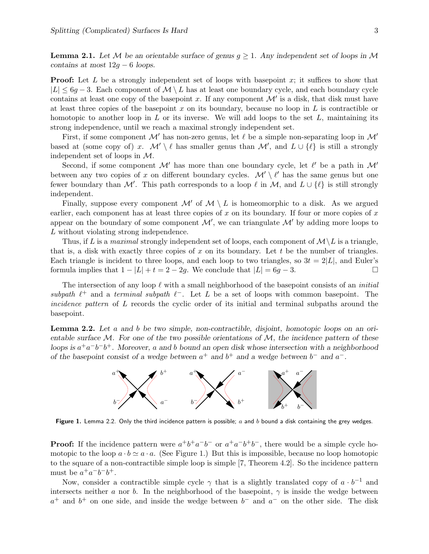**Lemma 2.1.** Let M be an orientable surface of genus  $g \ge 1$ . Any independent set of loops in M contains at most  $12g - 6$  loops.

**Proof:** Let L be a strongly independent set of loops with basepoint x; it suffices to show that  $|L| \leq 6g - 3$ . Each component of  $\mathcal{M} \setminus L$  has at least one boundary cycle, and each boundary cycle contains at least one copy of the basepoint x. If any component  $\mathcal{M}'$  is a disk, that disk must have at least three copies of the basepoint x on its boundary, because no loop in  $L$  is contractible or homotopic to another loop in  $L$  or its inverse. We will add loops to the set  $L$ , maintaining its strong independence, until we reach a maximal strongly independent set.

First, if some component  $\mathcal{M}'$  has non-zero genus, let  $\ell$  be a simple non-separating loop in  $\mathcal{M}'$ based at (some copy of) x.  $\mathcal{M}' \setminus \ell$  has smaller genus than  $\mathcal{M}'$ , and  $L \cup \{\ell\}$  is still a strongly independent set of loops in M.

Second, if some component  $\mathcal{M}'$  has more than one boundary cycle, let  $\ell'$  be a path in  $\mathcal{M}'$ between any two copies of x on different boundary cycles.  $\mathcal{M}' \setminus \ell'$  has the same genus but one fewer boundary than M'. This path corresponds to a loop  $\ell$  in M, and  $L \cup {\ell}$  is still strongly independent.

Finally, suppose every component  $\mathcal{M}'$  of  $\mathcal{M} \setminus L$  is homeomorphic to a disk. As we argued earlier, each component has at least three copies of x on its boundary. If four or more copies of  $x$ appear on the boundary of some component  $\mathcal{M}'$ , we can triangulate  $\mathcal{M}'$  by adding more loops to L without violating strong independence.

Thus, if L is a maximal strongly independent set of loops, each component of  $\mathcal{M}\setminus L$  is a triangle, that is, a disk with exactly three copies of x on its boundary. Let t be the number of triangles. Each triangle is incident to three loops, and each loop to two triangles, so  $3t = 2|L|$ , and Euler's formula implies that  $1 - |L| + t = 2 - 2q$ . We conclude that  $|L| = 6q - 3$ .

The intersection of any loop  $\ell$  with a small neighborhood of the basepoint consists of an *initial* subpath  $\ell^+$  and a terminal subpath  $\ell^-$ . Let L be a set of loops with common basepoint. The incidence pattern of L records the cyclic order of its initial and terminal subpaths around the basepoint.

Lemma 2.2. Let a and b be two simple, non-contractible, disjoint, homotopic loops on an orientable surface  $M$ . For one of the two possible orientations of  $M$ , the incidence pattern of these loops is  $a^+a^-b^-b^+$ . Moreover, a and b bound an open disk whose intersection with a neighborhood of the basepoint consist of a wedge between  $a^+$  and  $b^+$  and a wedge between  $b^-$  and  $a^-$ .



Figure 1. Lemma 2.2. Only the third incidence pattern is possible;  $a$  and  $b$  bound a disk containing the grey wedges.

**Proof:** If the incidence pattern were  $a^+b^+a^-b^-$  or  $a^+a^-b^+b^-$ , there would be a simple cycle homotopic to the loop  $a \cdot b \simeq a \cdot a$ . (See Figure 1.) But this is impossible, because no loop homotopic to the square of a non-contractible simple loop is simple [7, Theorem 4.2]. So the incidence pattern must be  $a^+a^-b^-b^+$ .

Now, consider a contractible simple cycle  $\gamma$  that is a slightly translated copy of  $a \cdot b^{-1}$  and intersects neither a nor b. In the neighborhood of the basepoint,  $\gamma$  is inside the wedge between  $a^+$  and  $b^+$  on one side, and inside the wedge between  $b^-$  and  $a^-$  on the other side. The disk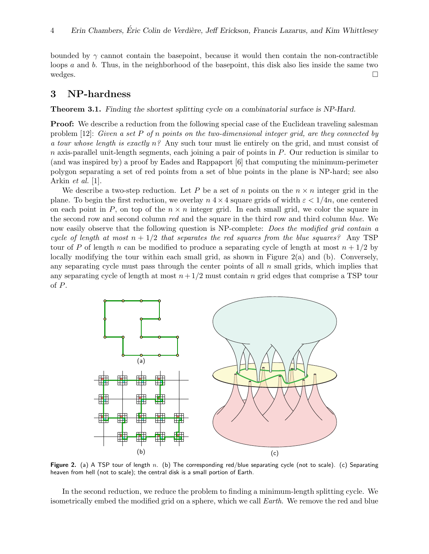bounded by  $\gamma$  cannot contain the basepoint, because it would then contain the non-contractible loops  $a$  and  $b$ . Thus, in the neighborhood of the basepoint, this disk also lies inside the same two wedges.  $\Box$ 

# 3 NP-hardness

Theorem 3.1. Finding the shortest splitting cycle on a combinatorial surface is NP-Hard.

**Proof:** We describe a reduction from the following special case of the Euclidean traveling salesman problem  $[12]$ : Given a set P of n points on the two-dimensional integer grid, are they connected by a tour whose length is exactly  $n^{\circ}$ . Any such tour must lie entirely on the grid, and must consist of  $n$  axis-parallel unit-length segments, each joining a pair of points in  $P$ . Our reduction is similar to (and was inspired by) a proof by Eades and Rappaport [6] that computing the minimum-perimeter polygon separating a set of red points from a set of blue points in the plane is NP-hard; see also Arkin et al. [1].

We describe a two-step reduction. Let P be a set of n points on the  $n \times n$  integer grid in the plane. To begin the first reduction, we overlay  $n \leq 4 \times 4$  square grids of width  $\varepsilon < 1/4n$ , one centered on each point in P, on top of the  $n \times n$  integer grid. In each small grid, we color the square in the second row and second column red and the square in the third row and third column blue. We now easily observe that the following question is NP-complete: *Does the modified grid contain a* cycle of length at most  $n + 1/2$  that separates the red squares from the blue squares? Any TSP tour of P of length n can be modified to produce a separating cycle of length at most  $n + 1/2$  by locally modifying the tour within each small grid, as shown in Figure 2(a) and (b). Conversely, any separating cycle must pass through the center points of all  $n$  small grids, which implies that any separating cycle of length at most  $n+1/2$  must contain n grid edges that comprise a TSP tour of P.



Figure 2. (a) A TSP tour of length n. (b) The corresponding red/blue separating cycle (not to scale). (c) Separating heaven from hell (not to scale); the central disk is a small portion of Earth.

In the second reduction, we reduce the problem to finding a minimum-length splitting cycle. We isometrically embed the modified grid on a sphere, which we call Earth. We remove the red and blue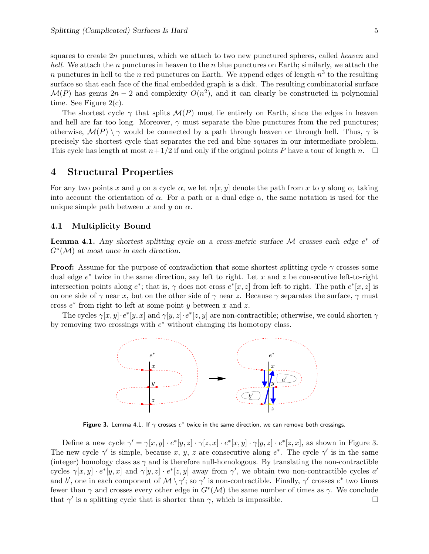squares to create 2n punctures, which we attach to two new punctured spheres, called heaven and *hell.* We attach the n punctures in heaven to the n blue punctures on Earth; similarly, we attach the n punctures in hell to the n red punctures on Earth. We append edges of length  $n^3$  to the resulting surface so that each face of the final embedded graph is a disk. The resulting combinatorial surface  $\mathcal{M}(P)$  has genus  $2n-2$  and complexity  $O(n^2)$ , and it can clearly be constructed in polynomial time. See Figure 2(c).

The shortest cycle  $\gamma$  that splits  $\mathcal{M}(P)$  must lie entirely on Earth, since the edges in heaven and hell are far too long. Moreover,  $\gamma$  must separate the blue punctures from the red punctures; otherwise,  $\mathcal{M}(P) \setminus \gamma$  would be connected by a path through heaven or through hell. Thus,  $\gamma$  is precisely the shortest cycle that separates the red and blue squares in our intermediate problem. This cycle has length at most  $n+1/2$  if and only if the original points P have a tour of length n.  $\square$ 

# 4 Structural Properties

For any two points x and y on a cycle  $\alpha$ , we let  $\alpha[x, y]$  denote the path from x to y along  $\alpha$ , taking into account the orientation of  $\alpha$ . For a path or a dual edge  $\alpha$ , the same notation is used for the unique simple path between x and y on  $\alpha$ .

## 4.1 Multiplicity Bound

**Lemma 4.1.** Any shortest splitting cycle on a cross-metric surface  $M$  crosses each edge  $e^*$  of  $G^*(\mathcal{M})$  at most once in each direction.

**Proof:** Assume for the purpose of contradiction that some shortest splitting cycle  $\gamma$  crosses some dual edge  $e^*$  twice in the same direction, say left to right. Let x and z be consecutive left-to-right intersection points along  $e^*$ ; that is,  $\gamma$  does not cross  $e^*[x, z]$  from left to right. The path  $e^*[x, z]$  is on one side of  $\gamma$  near x, but on the other side of  $\gamma$  near z. Because  $\gamma$  separates the surface,  $\gamma$  must cross  $e^*$  from right to left at some point y between x and z.

The cycles  $\gamma[x, y] \cdot e^*[y, x]$  and  $\gamma[y, z] \cdot e^*[z, y]$  are non-contractible; otherwise, we could shorten  $\gamma$ by removing two crossings with  $e^*$  without changing its homotopy class.



Figure 3. Lemma 4.1. If  $\gamma$  crosses  $e^*$  twice in the same direction, we can remove both crossings.

Define a new cycle  $\gamma' = \gamma[x, y] \cdot e^*[y, z] \cdot \gamma[z, x] \cdot e^*[x, y] \cdot \gamma[y, z] \cdot e^*[z, x]$ , as shown in Figure 3. The new cycle  $\gamma'$  is simple, because x, y, z are consecutive along  $e^*$ . The cycle  $\gamma'$  is in the same (integer) homology class as  $\gamma$  and is therefore null-homologous. By translating the non-contractible cycles  $\gamma[x,y] \cdot e^*[y,x]$  and  $\gamma[y,z] \cdot e^*[z,y]$  away from  $\gamma'$ , we obtain two non-contractible cycles a' and b', one in each component of  $\mathcal{M} \setminus \gamma'$ ; so  $\gamma'$  is non-contractible. Finally,  $\gamma'$  crosses  $e^*$  two times fewer than  $\gamma$  and crosses every other edge in  $G^*(\mathcal{M})$  the same number of times as  $\gamma$ . We conclude that  $\gamma'$  is a splitting cycle that is shorter than  $\gamma$ , which is impossible.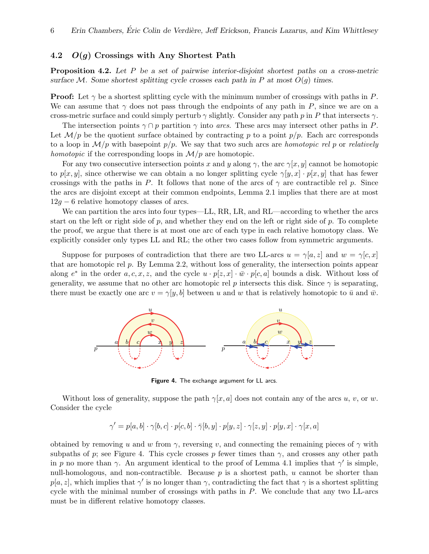# 4.2  $O(g)$  Crossings with Any Shortest Path

Proposition 4.2. Let P be a set of pairwise interior-disjoint shortest paths on a cross-metric surface M. Some shortest splitting cycle crosses each path in P at most  $O(g)$  times.

**Proof:** Let  $\gamma$  be a shortest splitting cycle with the minimum number of crossings with paths in P. We can assume that  $\gamma$  does not pass through the endpoints of any path in P, since we are on a cross-metric surface and could simply perturb  $\gamma$  slightly. Consider any path p in P that intersects  $\gamma$ .

The intersection points  $\gamma \cap p$  partition  $\gamma$  into arcs. These arcs may intersect other paths in P. Let  $\mathcal{M}/p$  be the quotient surface obtained by contracting p to a point  $p/p$ . Each arc corresponds to a loop in  $\mathcal{M}/p$  with basepoint  $p/p$ . We say that two such arcs are *homotopic rel p* or *relatively* homotopic if the corresponding loops in  $\mathcal{M}/p$  are homotopic.

For any two consecutive intersection points x and y along  $\gamma$ , the arc  $\gamma[x, y]$  cannot be homotopic to  $p[x, y]$ , since otherwise we can obtain a no longer splitting cycle  $\gamma[y, x] \cdot p[x, y]$  that has fewer crossings with the paths in P. It follows that none of the arcs of  $\gamma$  are contractible rel p. Since the arcs are disjoint except at their common endpoints, Lemma 2.1 implies that there are at most  $12g - 6$  relative homotopy classes of arcs.

We can partition the arcs into four types—LL, RR, LR, and RL—according to whether the arcs start on the left or right side of  $p$ , and whether they end on the left or right side of  $p$ . To complete the proof, we argue that there is at most one arc of each type in each relative homotopy class. We explicitly consider only types LL and RL; the other two cases follow from symmetric arguments.

Suppose for purposes of contradiction that there are two LL-arcs  $u = \gamma[a, z]$  and  $w = \gamma[c, x]$ that are homotopic rel p. By Lemma 2.2, without loss of generality, the intersection points appear along  $e^*$  in the order  $a, c, x, z$ , and the cycle  $u \cdot p[z, x] \cdot \bar{w} \cdot p[c, a]$  bounds a disk. Without loss of generality, we assume that no other arc homotopic rel p intersects this disk. Since  $\gamma$  is separating, there must be exactly one arc  $v = \gamma[y, b]$  between u and w that is relatively homotopic to  $\bar{u}$  and  $\bar{w}$ .



Figure 4. The exchange argument for LL arcs.

Without loss of generality, suppose the path  $\gamma[x, a]$  does not contain any of the arcs u, v, or w. Consider the cycle

$$
\gamma'=p[a,b]\cdot\gamma[b,c]\cdot p[c,b]\cdot\bar\gamma[b,y]\cdot p[y,z]\cdot\gamma[z,y]\cdot p[y,x]\cdot\gamma[x,a]
$$

obtained by removing u and w from  $\gamma$ , reversing v, and connecting the remaining pieces of  $\gamma$  with subpaths of p; see Figure 4. This cycle crosses p fewer times than  $\gamma$ , and crosses any other path in p no more than  $\gamma$ . An argument identical to the proof of Lemma 4.1 implies that  $\gamma'$  is simple, null-homologous, and non-contractible. Because  $p$  is a shortest path,  $u$  cannot be shorter than  $p[a, z]$ , which implies that  $\gamma'$  is no longer than  $\gamma$ , contradicting the fact that  $\gamma$  is a shortest splitting cycle with the minimal number of crossings with paths in P. We conclude that any two LL-arcs must be in different relative homotopy classes.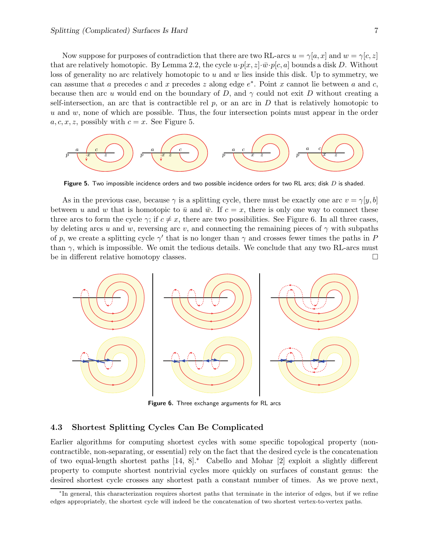Now suppose for purposes of contradiction that there are two RL-arcs  $u = \gamma[a, x]$  and  $w = \gamma[c, z]$ that are relatively homotopic. By Lemma 2.2, the cycle  $u \cdot p[x, z] \cdot \bar{w} \cdot p[c, a]$  bounds a disk D. Without loss of generality no arc relatively homotopic to  $u$  and  $w$  lies inside this disk. Up to symmetry, we can assume that a precedes c and x precedes z along edge  $e^*$ . Point x cannot lie between a and c, because then arc u would end on the boundary of D, and  $\gamma$  could not exit D without creating a self-intersection, an arc that is contractible rel  $p$ , or an arc in D that is relatively homotopic to  $u$  and  $w$ , none of which are possible. Thus, the four intersection points must appear in the order  $a, c, x, z$ , possibly with  $c = x$ . See Figure 5.



**Figure 5.** Two impossible incidence orders and two possible incidence orders for two RL arcs; disk  $D$  is shaded.

As in the previous case, because  $\gamma$  is a splitting cycle, there must be exactly one arc  $v = \gamma[y, b]$ between u and w that is homotopic to  $\bar{u}$  and  $\bar{w}$ . If  $c = x$ , there is only one way to connect these three arcs to form the cycle  $\gamma$ ; if  $c \neq x$ , there are two possibilities. See Figure 6. In all three cases, by deleting arcs u and w, reversing arc v, and connecting the remaining pieces of  $\gamma$  with subpaths of p, we create a splitting cycle  $\gamma'$  that is no longer than  $\gamma$  and crosses fewer times the paths in P than  $\gamma$ , which is impossible. We omit the tedious details. We conclude that any two RL-arcs must be in different relative homotopy classes.



Figure 6. Three exchange arguments for RL arcs

# 4.3 Shortest Splitting Cycles Can Be Complicated

Earlier algorithms for computing shortest cycles with some specific topological property (noncontractible, non-separating, or essential) rely on the fact that the desired cycle is the concatenation of two equal-length shortest paths [14, 8].<sup>∗</sup> Cabello and Mohar [2] exploit a slightly different property to compute shortest nontrivial cycles more quickly on surfaces of constant genus: the desired shortest cycle crosses any shortest path a constant number of times. As we prove next,

<sup>∗</sup> In general, this characterization requires shortest paths that terminate in the interior of edges, but if we refine edges appropriately, the shortest cycle will indeed be the concatenation of two shortest vertex-to-vertex paths.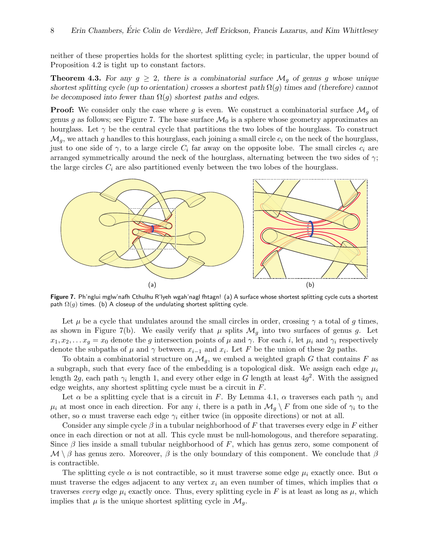neither of these properties holds for the shortest splitting cycle; in particular, the upper bound of Proposition 4.2 is tight up to constant factors.

**Theorem 4.3.** For any  $g \geq 2$ , there is a combinatorial surface  $\mathcal{M}_g$  of genus g whose unique shortest splitting cycle (up to orientation) crosses a shortest path  $\Omega(g)$  times and (therefore) cannot be decomposed into fewer than  $\Omega(g)$  shortest paths and edges.

**Proof:** We consider only the case where g is even. We construct a combinatorial surface  $\mathcal{M}_q$  of genus g as follows; see Figure 7. The base surface  $\mathcal{M}_0$  is a sphere whose geometry approximates an hourglass. Let  $\gamma$  be the central cycle that partitions the two lobes of the hourglass. To construct  $\mathcal{M}_q$ , we attach g handles to this hourglass, each joining a small circle  $c_i$  on the neck of the hourglass, just to one side of  $\gamma$ , to a large circle  $C_i$  far away on the opposite lobe. The small circles  $c_i$  are arranged symmetrically around the neck of the hourglass, alternating between the two sides of  $\gamma$ ; the large circles  $C_i$  are also partitioned evenly between the two lobes of the hourglass.



Figure 7. Ph'nglui mglw'nafh Cthulhu R'lyeh wgah'nagl fhtagn! (a) A surface whose shortest splitting cycle cuts a shortest path  $\Omega(g)$  times. (b) A closeup of the undulating shortest splitting cycle.

Let  $\mu$  be a cycle that undulates around the small circles in order, crossing  $\gamma$  a total of g times, as shown in Figure 7(b). We easily verify that  $\mu$  splits  $\mathcal{M}_q$  into two surfaces of genus g. Let  $x_1, x_2, \ldots x_q = x_0$  denote the g intersection points of  $\mu$  and  $\gamma$ . For each i, let  $\mu_i$  and  $\gamma_i$  respectively denote the subpaths of  $\mu$  and  $\gamma$  between  $x_{i-1}$  and  $x_i$ . Let F be the union of these 2g paths.

To obtain a combinatorial structure on  $\mathcal{M}_q$ , we embed a weighted graph G that contains F as a subgraph, such that every face of the embedding is a topological disk. We assign each edge  $\mu_i$ length 2g, each path  $\gamma_i$  length 1, and every other edge in G length at least  $4g^2$ . With the assigned edge weights, any shortest splitting cycle must be a circuit in F.

Let  $\alpha$  be a splitting cycle that is a circuit in F. By Lemma 4.1,  $\alpha$  traverses each path  $\gamma_i$  and  $\mu_i$  at most once in each direction. For any i, there is a path in  $\mathcal{M}_g \setminus F$  from one side of  $\gamma_i$  to the other, so  $\alpha$  must traverse each edge  $\gamma_i$  either twice (in opposite directions) or not at all.

Consider any simple cycle  $\beta$  in a tubular neighborhood of F that traverses every edge in F either once in each direction or not at all. This cycle must be null-homologous, and therefore separating. Since  $\beta$  lies inside a small tubular neighborhood of F, which has genus zero, some component of  $M \setminus \beta$  has genus zero. Moreover,  $\beta$  is the only boundary of this component. We conclude that  $\beta$ is contractible.

The splitting cycle  $\alpha$  is not contractible, so it must traverse some edge  $\mu_i$  exactly once. But  $\alpha$ must traverse the edges adjacent to any vertex  $x_i$  an even number of times, which implies that  $\alpha$ traverses every edge  $\mu_i$  exactly once. Thus, every splitting cycle in F is at least as long as  $\mu$ , which implies that  $\mu$  is the unique shortest splitting cycle in  $\mathcal{M}_q$ .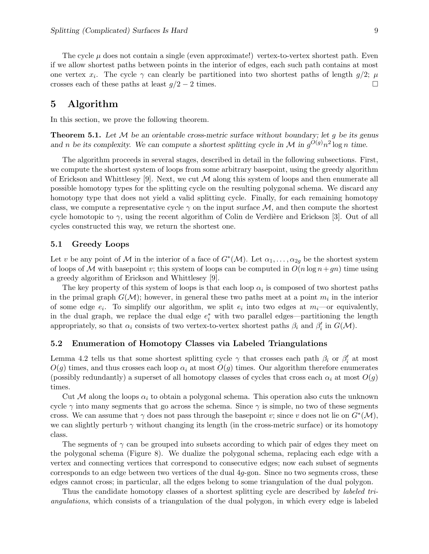The cycle  $\mu$  does not contain a single (even approximate!) vertex-to-vertex shortest path. Even if we allow shortest paths between points in the interior of edges, each such path contains at most one vertex  $x_i$ . The cycle  $\gamma$  can clearly be partitioned into two shortest paths of length  $g/2$ ;  $\mu$ crosses each of these paths at least  $g/2 - 2$  times.

# 5 Algorithm

In this section, we prove the following theorem.

**Theorem 5.1.** Let  $M$  be an orientable cross-metric surface without boundary; let g be its genus and n be its complexity. We can compute a shortest splitting cycle in M in  $g^{O(g)}n^2 \log n$  time.

The algorithm proceeds in several stages, described in detail in the following subsections. First, we compute the shortest system of loops from some arbitrary basepoint, using the greedy algorithm of Erickson and Whittlesey [9]. Next, we cut  $\mathcal M$  along this system of loops and then enumerate all possible homotopy types for the splitting cycle on the resulting polygonal schema. We discard any homotopy type that does not yield a valid splitting cycle. Finally, for each remaining homotopy class, we compute a representative cycle  $\gamma$  on the input surface M, and then compute the shortest cycle homotopic to  $\gamma$ , using the recent algorithm of Colin de Verdière and Erickson [3]. Out of all cycles constructed this way, we return the shortest one.

## 5.1 Greedy Loops

Let v be any point of M in the interior of a face of  $G^*(\mathcal{M})$ . Let  $\alpha_1, \ldots, \alpha_{2g}$  be the shortest system of loops of M with basepoint v; this system of loops can be computed in  $O(n \log n + gn)$  time using a greedy algorithm of Erickson and Whittlesey [9].

The key property of this system of loops is that each loop  $\alpha_i$  is composed of two shortest paths in the primal graph  $G(\mathcal{M})$ ; however, in general these two paths meet at a point  $m_i$  in the interior of some edge  $e_i$ . To simplify our algorithm, we split  $e_i$  into two edges at  $m_i$ —or equivalently, in the dual graph, we replace the dual edge  $e_i^*$  with two parallel edges—partitioning the length appropriately, so that  $\alpha_i$  consists of two vertex-to-vertex shortest paths  $\beta_i$  and  $\beta'_i$  in  $G(\mathcal{M})$ .

## 5.2 Enumeration of Homotopy Classes via Labeled Triangulations

Lemma 4.2 tells us that some shortest splitting cycle  $\gamma$  that crosses each path  $\beta_i$  or  $\beta'_i$  at most  $O(g)$  times, and thus crosses each loop  $\alpha_i$  at most  $O(g)$  times. Our algorithm therefore enumerates (possibly redundantly) a superset of all homotopy classes of cycles that cross each  $\alpha_i$  at most  $O(g)$ times.

Cut M along the loops  $\alpha_i$  to obtain a polygonal schema. This operation also cuts the unknown cycle  $\gamma$  into many segments that go across the schema. Since  $\gamma$  is simple, no two of these segments cross. We can assume that  $\gamma$  does not pass through the basepoint v; since v does not lie on  $G^*(\mathcal{M})$ , we can slightly perturb  $\gamma$  without changing its length (in the cross-metric surface) or its homotopy class.

The segments of  $\gamma$  can be grouped into subsets according to which pair of edges they meet on the polygonal schema (Figure 8). We dualize the polygonal schema, replacing each edge with a vertex and connecting vertices that correspond to consecutive edges; now each subset of segments corresponds to an edge between two vertices of the dual 4g-gon. Since no two segments cross, these edges cannot cross; in particular, all the edges belong to some triangulation of the dual polygon.

Thus the candidate homotopy classes of a shortest splitting cycle are described by *labeled tri*angulations, which consists of a triangulation of the dual polygon, in which every edge is labeled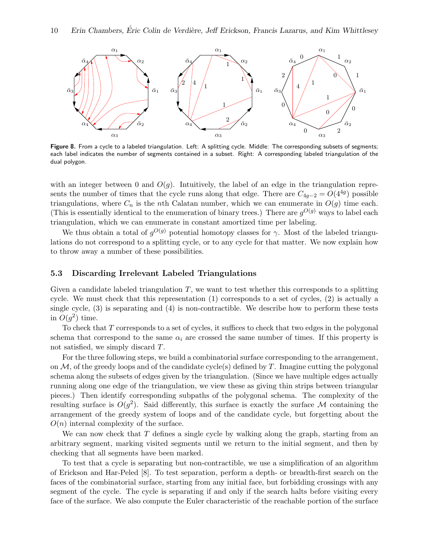

Figure 8. From a cycle to a labeled triangulation. Left: A splitting cycle. Middle: The corresponding subsets of segments; each label indicates the number of segments contained in a subset. Right: A corresponding labeled triangulation of the dual polygon.

with an integer between 0 and  $O(q)$ . Intuitively, the label of an edge in the triangulation represents the number of times that the cycle runs along that edge. There are  $C_{4g-2} = O(4^{4g})$  possible triangulations, where  $C_n$  is the nth Calatan number, which we can enumerate in  $O(g)$  time each. (This is essentially identical to the enumeration of binary trees.) There are  $g^{O(g)}$  ways to label each triangulation, which we can enumerate in constant amortized time per labeling.

We thus obtain a total of  $g^{O(g)}$  potential homotopy classes for  $\gamma$ . Most of the labeled triangulations do not correspond to a splitting cycle, or to any cycle for that matter. We now explain how to throw away a number of these possibilities.

## 5.3 Discarding Irrelevant Labeled Triangulations

Given a candidate labeled triangulation  $T$ , we want to test whether this corresponds to a splitting cycle. We must check that this representation (1) corresponds to a set of cycles, (2) is actually a single cycle, (3) is separating and (4) is non-contractible. We describe how to perform these tests in  $O(g^2)$  time.

To check that T corresponds to a set of cycles, it suffices to check that two edges in the polygonal schema that correspond to the same  $\alpha_i$  are crossed the same number of times. If this property is not satisfied, we simply discard T.

For the three following steps, we build a combinatorial surface corresponding to the arrangement, on  $\mathcal M$ , of the greedy loops and of the candidate cycle(s) defined by T. Imagine cutting the polygonal schema along the subsets of edges given by the triangulation. (Since we have multiple edges actually running along one edge of the triangulation, we view these as giving thin strips between triangular pieces.) Then identify corresponding subpaths of the polygonal schema. The complexity of the resulting surface is  $O(g^2)$ . Said differently, this surface is exactly the surface M containing the arrangement of the greedy system of loops and of the candidate cycle, but forgetting about the  $O(n)$  internal complexity of the surface.

We can now check that  $T$  defines a single cycle by walking along the graph, starting from an arbitrary segment, marking visited segments until we return to the initial segment, and then by checking that all segments have been marked.

To test that a cycle is separating but non-contractible, we use a simplification of an algorithm of Erickson and Har-Peled [8]. To test separation, perform a depth- or breadth-first search on the faces of the combinatorial surface, starting from any initial face, but forbidding crossings with any segment of the cycle. The cycle is separating if and only if the search halts before visiting every face of the surface. We also compute the Euler characteristic of the reachable portion of the surface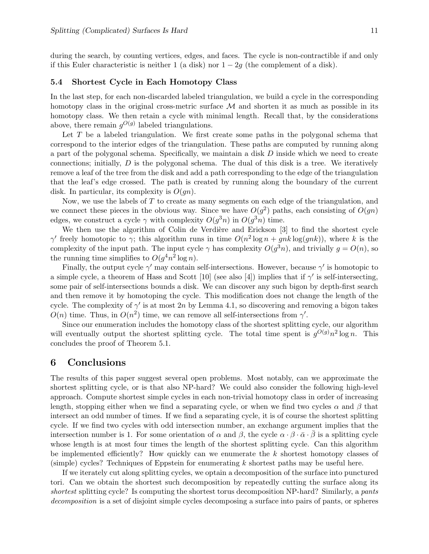during the search, by counting vertices, edges, and faces. The cycle is non-contractible if and only if this Euler characteristic is neither 1 (a disk) nor  $1 - 2g$  (the complement of a disk).

## 5.4 Shortest Cycle in Each Homotopy Class

In the last step, for each non-discarded labeled triangulation, we build a cycle in the corresponding homotopy class in the original cross-metric surface  $\mathcal M$  and shorten it as much as possible in its homotopy class. We then retain a cycle with minimal length. Recall that, by the considerations above, there remain  $g^{O(g)}$  labeled triangulations.

Let T be a labeled triangulation. We first create some paths in the polygonal schema that correspond to the interior edges of the triangulation. These paths are computed by running along a part of the polygonal schema. Specifically, we maintain a disk  $D$  inside which we need to create connections; initially, D is the polygonal schema. The dual of this disk is a tree. We iteratively remove a leaf of the tree from the disk and add a path corresponding to the edge of the triangulation that the leaf's edge crossed. The path is created by running along the boundary of the current disk. In particular, its complexity is  $O(qn)$ .

Now, we use the labels of T to create as many segments on each edge of the triangulation, and we connect these pieces in the obvious way. Since we have  $O(g^2)$  paths, each consisting of  $O(gn)$ edges, we construct a cycle  $\gamma$  with complexity  $O(g^3 n)$  in  $O(g^3 n)$  time.

We then use the algorithm of Colin de Verdière and Erickson  $[3]$  to find the shortest cycle  $\gamma'$  freely homotopic to  $\gamma$ ; this algorithm runs in time  $O(n^2 \log n + g n k \log(g n k))$ , where k is the complexity of the input path. The input cycle  $\gamma$  has complexity  $O(g^3n)$ , and trivially  $g = O(n)$ , so the running time simplifies to  $O(g^4 n^2 \log n)$ .

Finally, the output cycle  $\gamma'$  may contain self-intersections. However, because  $\gamma'$  is homotopic to a simple cycle, a theorem of Hass and Scott [10] (see also [4]) implies that if  $\gamma'$  is self-intersecting, some pair of self-intersections bounds a disk. We can discover any such bigon by depth-first search and then remove it by homotoping the cycle. This modification does not change the length of the cycle. The complexity of  $\gamma'$  is at most 2n by Lemma 4.1, so discovering and removing a bigon takes  $O(n)$  time. Thus, in  $O(n^2)$  time, we can remove all self-intersections from  $\gamma'$ .

Since our enumeration includes the homotopy class of the shortest splitting cycle, our algorithm will eventually output the shortest splitting cycle. The total time spent is  $g^{O(g)}n^2 \log n$ . This concludes the proof of Theorem 5.1.

# 6 Conclusions

The results of this paper suggest several open problems. Most notably, can we approximate the shortest splitting cycle, or is that also NP-hard? We could also consider the following high-level approach. Compute shortest simple cycles in each non-trivial homotopy class in order of increasing length, stopping either when we find a separating cycle, or when we find two cycles  $\alpha$  and  $\beta$  that intersect an odd number of times. If we find a separating cycle, it is of course the shortest splitting cycle. If we find two cycles with odd intersection number, an exchange argument implies that the intersection number is 1. For some orientation of  $\alpha$  and  $\beta$ , the cycle  $\alpha \cdot \beta \cdot \bar{\alpha} \cdot \bar{\beta}$  is a splitting cycle whose length is at most four times the length of the shortest splitting cycle. Can this algorithm be implemented efficiently? How quickly can we enumerate the  $k$  shortest homotopy classes of  $(\text{simple})$  cycles? Techniques of Eppstein for enumerating k shortest paths may be useful here.

If we iterately cut along splitting cycles, we optain a decomposition of the surface into punctured tori. Can we obtain the shortest such decomposition by repeatedly cutting the surface along its shortest splitting cycle? Is computing the shortest torus decomposition NP-hard? Similarly, a pants decomposition is a set of disjoint simple cycles decomposing a surface into pairs of pants, or spheres